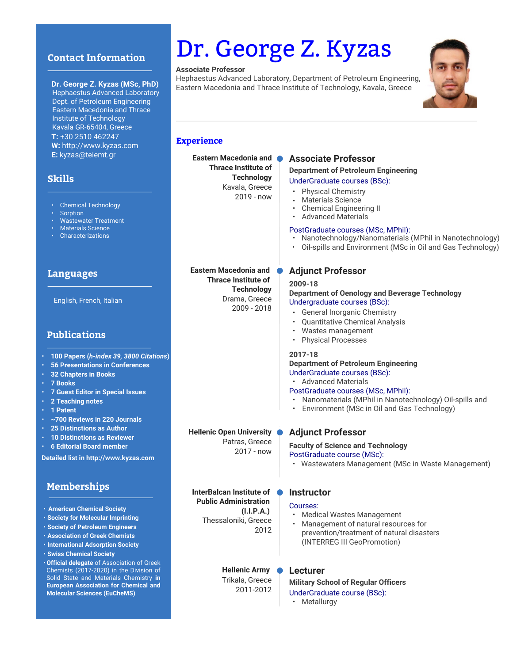## **Contact Information**

#### **Dr. George Z. Kyzas (MSc, PhD)**

 Hephaestus Advanced Laboratory Dept. of Petroleum Engineering Eastern Macedonia and Thrace Institute of Technology Kavala GR-65404, Greece **T:** +30 2510 462247 **W:** http://www.kyzas.com **E:** kyzas@teiemt.gr

# **Skills**

- Chemical Technology
- **Sorption**
- Wastewater Treatment
- Materials Science
- Characterizations

#### **Languages**

English, French, Italian

# **Publications**

- **100 Papers (***h-index 39, 3800 Citations***)**
- **56 Presentations in Conferences**
- **32 Chapters in Books**
- **7 Books**
- **7 Guest Editor in Special Issues**
- **2 Teaching notes**
- **1 Patent**
- **~700 Reviews in 220 Journals**
- **25 Distinctions as Author**
- **10 Distinctions as Reviewer**
- **6 Editorial Board member**

**Detailed list in http://www.kyzas.com**

# **Memberships**

- **American Chemical Society**
- **Society for Molecular Imprinting**
- **Society of Petroleum Engineers**
- **Association of Greek Chemists**
- **International Adsorption Society**
- **Swiss Chemical Society**
- **Official delegate** of Association of Greek Chemists (2017-2020) in the Division of Solid State and Materials Chemistry **in European Association for Chemical and Molecular Sciences (EuCheMS)**

# Dr. George Z. Kyzas

#### **Associate Professor**

Hephaestus Advanced Laboratory, Department of Petroleum Engineering, Eastern Macedonia and Thrace Institute of Technology, Kavala, Greece



#### **Experience**

**Eastern Macedonia and Thrace Institute of Technology** Kavala, Greece 2019 - now

> **Thrace Institute of Technology** Drama, Greece 2009 - 2018

# **Associate Professor**

**Department of Petroleum Engineering**  UnderGraduate courses (BSc):

- Physical Chemistry
- Materials Science
- Chemical Engineering II
- Advanced Materials

#### PostGraduate courses (MSc, MPhil):

- Nanotechnology/Nanomaterials (MPhil in Nanotechnology)
- Oil-spills and Environment (MSc in Oil and Gas Technology)

# **Eastern Macedonia and Adjunct Professor**

#### **2009-18**

#### **Department of Oenology and Beverage Technology** Undergraduate courses (BSc):

- General Inorganic Chemistry
- Quantitative Chemical Analysis
- Wastes management
- Physical Processes

#### **2017-18**

#### **Department of Petroleum Engineering**  UnderGraduate courses (BSc):

• Advanced Materials

#### PostGraduate courses (MSc, MPhil):

- Nanomaterials (MPhil in Nanotechnology) Oil-spills and
- Environment (MSc in Oil and Gas Technology)

# **Hellenic Open University Adjunct Professor**

**Faculty of Science and Technology** 

PostGraduate course (MSc):

• Wastewaters Management (MSc in Waste Management)

**InterBalcan Institute of Instructor Public Administration (I.I.P.A.)**  Thessaloniki, Greece 2012

Patras, Greece 2017 - now

#### Courses:

- Medical Wastes Management
- Management of natural resources for prevention/treatment of natural disasters (INTERREG III GeoPromotion) •

**Hellenic Army**  Trikala, Greece 2011-2012

### **Lecturer**

**Military School of Regular Officers**  UnderGraduate course (BSc): • Metallurgy